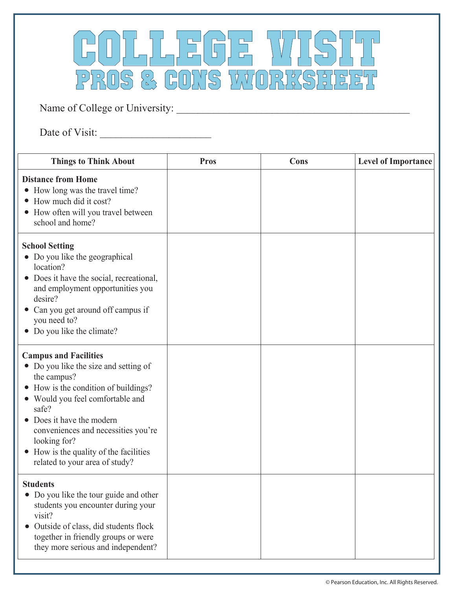

Name of College or University: \_\_\_\_\_\_\_\_\_\_\_\_\_\_\_\_\_\_\_\_\_\_\_\_\_\_\_\_\_\_\_\_\_\_\_\_\_\_\_\_\_\_\_\_

Date of Visit: \_\_\_\_\_\_\_\_\_\_\_\_\_\_\_\_\_\_\_\_\_

| <b>Things to Think About</b>                                                                                                                                                                                                                                                                                                                   | <b>Pros</b> | Cons | <b>Level of Importance</b> |
|------------------------------------------------------------------------------------------------------------------------------------------------------------------------------------------------------------------------------------------------------------------------------------------------------------------------------------------------|-------------|------|----------------------------|
| <b>Distance from Home</b><br>How long was the travel time?<br>$\bullet$<br>How much did it cost?<br>How often will you travel between<br>school and home?                                                                                                                                                                                      |             |      |                            |
| <b>School Setting</b><br>• Do you like the geographical<br>location?<br>Does it have the social, recreational,<br>$\bullet$<br>and employment opportunities you<br>desire?<br>Can you get around off campus if<br>you need to?<br>Do you like the climate?                                                                                     |             |      |                            |
| <b>Campus and Facilities</b><br>• Do you like the size and setting of<br>the campus?<br>How is the condition of buildings?<br>Would you feel comfortable and<br>safe?<br>Does it have the modern<br>conveniences and necessities you're<br>looking for?<br>How is the quality of the facilities<br>$\bullet$<br>related to your area of study? |             |      |                            |
| <b>Students</b><br>• Do you like the tour guide and other<br>students you encounter during your<br>visit?<br>Outside of class, did students flock<br>together in friendly groups or were<br>they more serious and independent?                                                                                                                 |             |      |                            |